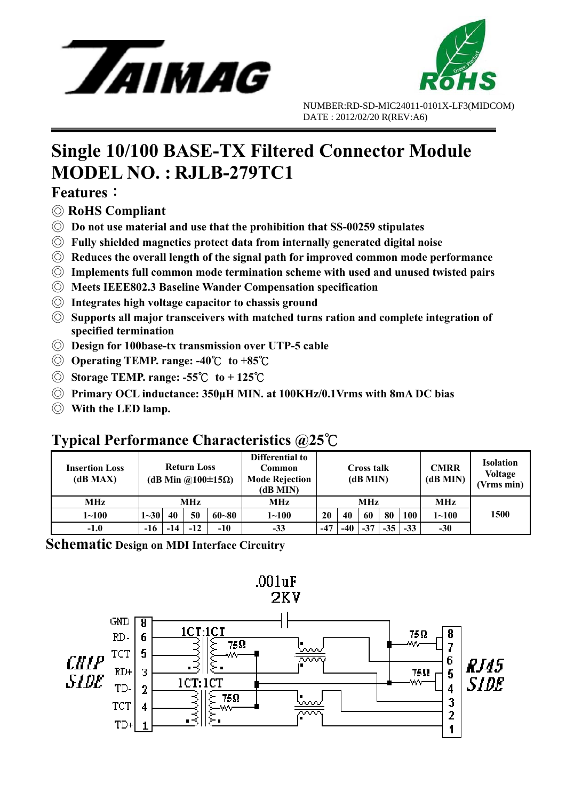



## **Single 10/100 BASE-TX Filtered Connector Module MODEL NO. : RJLB-279TC1**

### **Features**:

- ◎ **RoHS Compliant**
- ◎ **Do not use material and use that the prohibition that SS-00259 stipulates**
- ◎ **Fully shielded magnetics protect data from internally generated digital noise**
- ◎ **Reduces the overall length of the signal path for improved common mode performance**
- ◎ **Implements full common mode termination scheme with used and unused twisted pairs**
- ◎ **Meets IEEE802.3 Baseline Wander Compensation specification**
- ◎ **Integrates high voltage capacitor to chassis ground**
- ◎ **Supports all major transceivers with matched turns ration and complete integration of specified termination**
- ◎ **Design for 100base-tx transmission over UTP-5 cable**
- ◎ **Operating TEMP. range: -40**℃ **to +85**℃
- ◎ **Storage TEMP. range: -55**℃ **to + 125**℃
- ◎ **Primary OCL inductance: 350μH MIN. at 100KHz/0.1Vrms with 8mA DC bias**
- ◎ **With the LED lamp.**

### **Typical Performance Characteristics @25**℃

| <b>Insertion Loss</b><br>(dB MAX) |           | <b>Return Loss</b><br>(dB Min $\omega(100 \pm 15 \Omega)$ |    |     |           | Differential to<br>Common<br><b>Mode Rejection</b><br>(dB MIN) | Cross talk<br>(dB MIN) |       |    |       | <b>CMRR</b><br>(dB MIN) | <b>Isolation</b><br><b>Voltage</b><br>(Vrms min) |      |
|-----------------------------------|-----------|-----------------------------------------------------------|----|-----|-----------|----------------------------------------------------------------|------------------------|-------|----|-------|-------------------------|--------------------------------------------------|------|
|                                   | MHz       | MHz                                                       |    |     |           | MHz                                                            | MHz                    |       |    |       |                         | MHz                                              |      |
|                                   | $1 - 100$ | $1 - 30$                                                  | 40 | 50  | $60 - 80$ | $1 - 100$                                                      | 20                     | 40    | 60 | 80    | 100                     | $1 \!\!\sim\!\! 100$                             | 1500 |
|                                   | $-1.0$    | -16                                                       |    | -12 | $-10$     | $-33$                                                          | $-47$                  | $-40$ |    | $-35$ | $-33$                   | $-30$                                            |      |

**Schematic Design on MDI Interface Circuitry** 

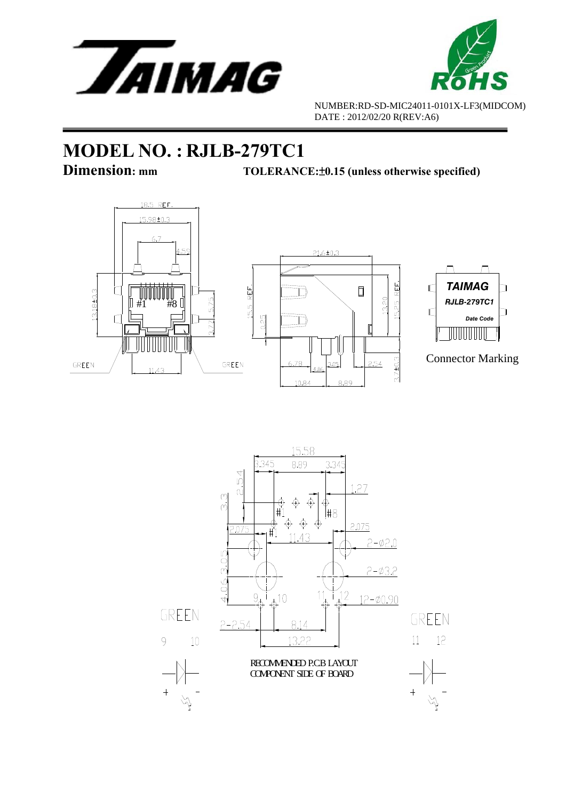



## **MODEL NO. : RJLB-279TC1**

**Dimension:** mm TOLERANCE:  $\pm$ 0.15 (unless otherwise specified)



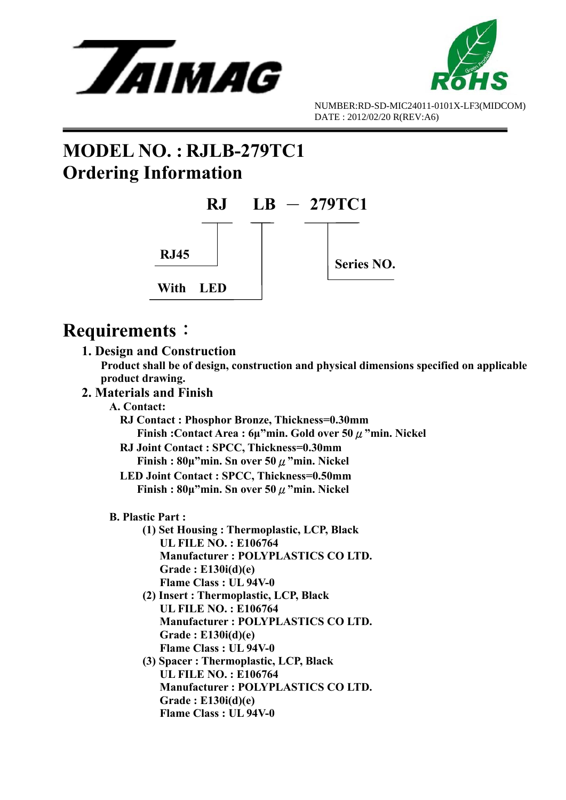



## **MODEL NO. : RJLB-279TC1 Ordering Information**



## **Requirements**:

 **1. Design and Construction** 

 **Product shall be of design, construction and physical dimensions specified on applicable product drawing.** 

- **2. Materials and Finish** 
	- **A. Contact:** 
		- **RJ Contact : Phosphor Bronze, Thickness=0.30mm Finish :Contact Area : 6μ"min. Gold over 50**μ**"min. Nickel**
		- **RJ Joint Contact : SPCC, Thickness=0.30mm Finish : 80μ"min. Sn over 50**μ**"min. Nickel**
		- **LED Joint Contact : SPCC, Thickness=0.50mm Finish : 80μ"min. Sn over 50**μ**"min. Nickel**
	- **B. Plastic Part :** 
		- **(1) Set Housing : Thermoplastic, LCP, Black UL FILE NO. : E106764 Manufacturer : POLYPLASTICS CO LTD. Grade : E130i(d)(e) Flame Class : UL 94V-0**
		- **(2) Insert : Thermoplastic, LCP, Black UL FILE NO. : E106764 Manufacturer : POLYPLASTICS CO LTD. Grade : E130i(d)(e) Flame Class : UL 94V-0**
		- **(3) Spacer : Thermoplastic, LCP, Black UL FILE NO. : E106764 Manufacturer : POLYPLASTICS CO LTD. Grade : E130i(d)(e) Flame Class : UL 94V-0**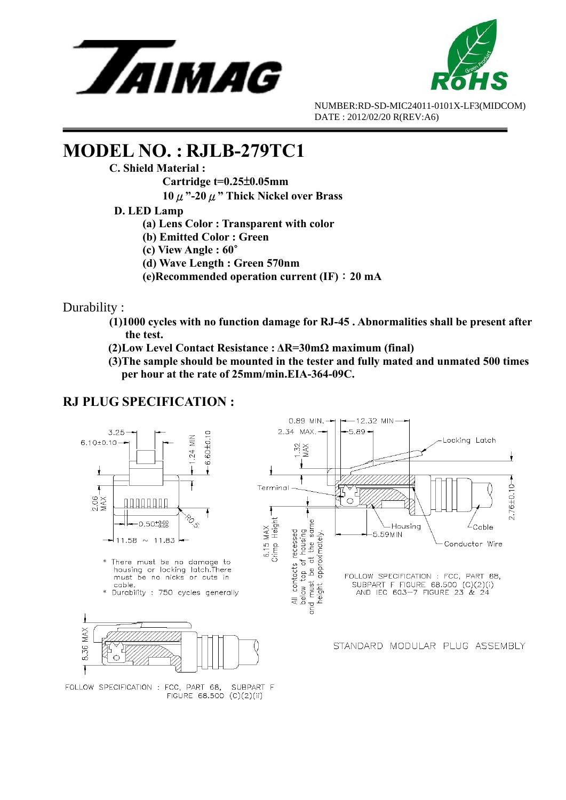



# **MODEL NO. : RJLB-279TC1**<br>C. Shield Material :

 **Cartridge t=0.25**±**0.05mm 10**μ**"-20**μ**" Thick Nickel over Brass** 

 **D. LED Lamp** 

 **(a) Lens Color : Transparent with color** 

- **(b) Emitted Color : Green**
- **(c) View Angle : 60**∘
- **(d) Wave Length : Green 570nm**
- **(e)Recommended operation current (IF)**:**20 mA**

### Durability :

- **(1)1000 cycles with no function damage for RJ-45 . Abnormalities shall be present after the test.**
- **(2)Low Level Contact Resistance : ΔR=30mΩ maximum (final)**
- **(3)The sample should be mounted in the tester and fully mated and unmated 500 times per hour at the rate of 25mm/min.EIA-364-09C.**

### **RJ PLUG SPECIFICATION :**



FOLLOW SPECIFICATION : FCC, PART 68, SUBPART F FIGURE 68.500 (C)(2)(ii)